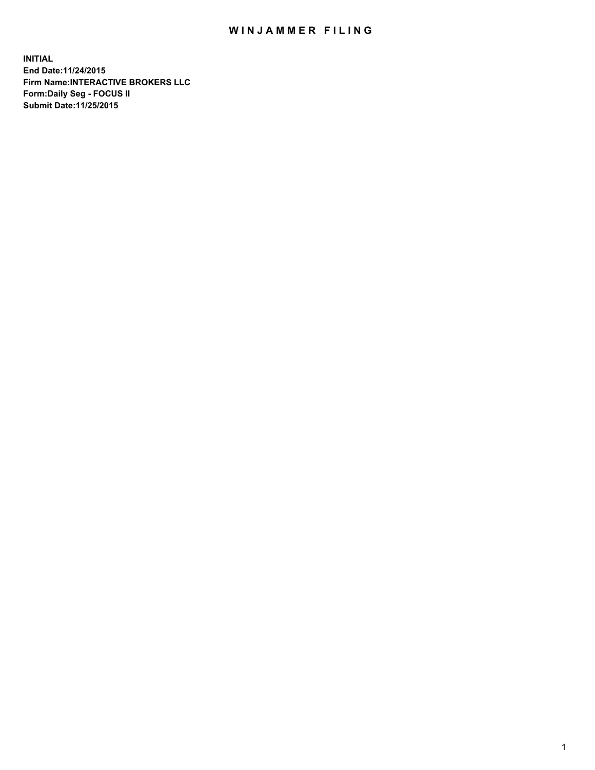## WIN JAMMER FILING

**INITIAL End Date:11/24/2015 Firm Name:INTERACTIVE BROKERS LLC Form:Daily Seg - FOCUS II Submit Date:11/25/2015**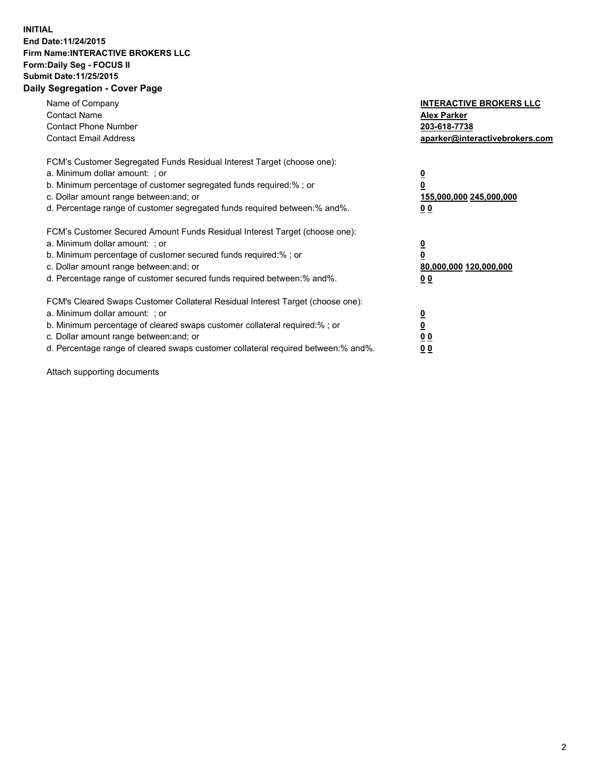## **INITIAL End Date:11/24/2015 Firm Name:INTERACTIVE BROKERS LLC Form:Daily Seg - FOCUS II Submit Date:11/25/2015 Daily Segregation - Cover Page**

| Name of Company<br><b>Contact Name</b><br><b>Contact Phone Number</b><br><b>Contact Email Address</b>                                                                                                                                                                                                                         | <b>INTERACTIVE BROKERS LLC</b><br><b>Alex Parker</b><br>203-618-7738<br>aparker@interactivebrokers.com |
|-------------------------------------------------------------------------------------------------------------------------------------------------------------------------------------------------------------------------------------------------------------------------------------------------------------------------------|--------------------------------------------------------------------------------------------------------|
| FCM's Customer Segregated Funds Residual Interest Target (choose one):<br>a. Minimum dollar amount: ; or<br>b. Minimum percentage of customer segregated funds required:% ; or<br>c. Dollar amount range between: and; or<br>d. Percentage range of customer segregated funds required between:% and%.                        | <u>0</u><br><u>155,000,000 245,000,000</u><br>00                                                       |
| FCM's Customer Secured Amount Funds Residual Interest Target (choose one):<br>a. Minimum dollar amount: ; or<br>b. Minimum percentage of customer secured funds required:% ; or<br>c. Dollar amount range between: and; or<br>d. Percentage range of customer secured funds required between: % and %.                        | $\overline{\mathbf{0}}$<br>80,000,000 120,000,000<br>00                                                |
| FCM's Cleared Swaps Customer Collateral Residual Interest Target (choose one):<br>a. Minimum dollar amount: ; or<br>b. Minimum percentage of cleared swaps customer collateral required:%; or<br>c. Dollar amount range between: and; or<br>d. Percentage range of cleared swaps customer collateral required between:% and%. | <u>0</u><br>0 <sub>0</sub><br><u>00</u>                                                                |

Attach supporting documents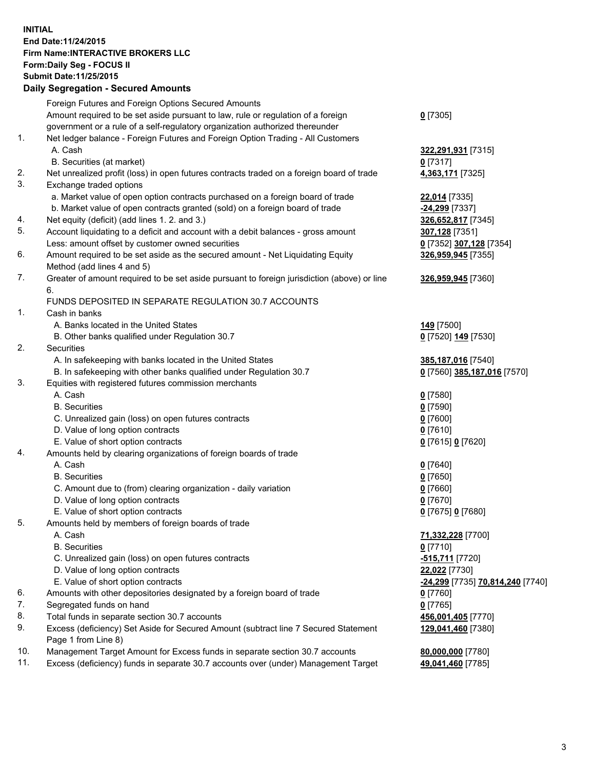## **INITIAL End Date:11/24/2015 Firm Name:INTERACTIVE BROKERS LLC Form:Daily Seg - FOCUS II Submit Date:11/25/2015 Daily Segregation - Secured Amounts**

|     | Daily Jegregation - Jeculed Aniounts                                                        |                                  |
|-----|---------------------------------------------------------------------------------------------|----------------------------------|
|     | Foreign Futures and Foreign Options Secured Amounts                                         |                                  |
|     | Amount required to be set aside pursuant to law, rule or regulation of a foreign            | $0$ [7305]                       |
|     | government or a rule of a self-regulatory organization authorized thereunder                |                                  |
| 1.  | Net ledger balance - Foreign Futures and Foreign Option Trading - All Customers             |                                  |
|     | A. Cash                                                                                     | 322,291,931 [7315]               |
|     | B. Securities (at market)                                                                   | 0 [7317]                         |
| 2.  | Net unrealized profit (loss) in open futures contracts traded on a foreign board of trade   | 4,363,171 [7325]                 |
| 3.  | Exchange traded options                                                                     |                                  |
|     | a. Market value of open option contracts purchased on a foreign board of trade              | 22,014 [7335]                    |
|     | b. Market value of open contracts granted (sold) on a foreign board of trade                | -24,299 [7337]                   |
| 4.  | Net equity (deficit) (add lines 1. 2. and 3.)                                               | 326,652,817 [7345]               |
| 5.  | Account liquidating to a deficit and account with a debit balances - gross amount           | 307,128 [7351]                   |
|     | Less: amount offset by customer owned securities                                            | 0 [7352] 307,128 [7354]          |
| 6.  | Amount required to be set aside as the secured amount - Net Liquidating Equity              | 326,959,945 [7355]               |
|     | Method (add lines 4 and 5)                                                                  |                                  |
| 7.  | Greater of amount required to be set aside pursuant to foreign jurisdiction (above) or line | 326,959,945 [7360]               |
|     | 6.                                                                                          |                                  |
|     | FUNDS DEPOSITED IN SEPARATE REGULATION 30.7 ACCOUNTS                                        |                                  |
| 1.  | Cash in banks                                                                               |                                  |
|     | A. Banks located in the United States                                                       | 149 <sub>[7500]</sub>            |
|     | B. Other banks qualified under Regulation 30.7                                              | 0 [7520] 149 [7530]              |
| 2.  | Securities                                                                                  |                                  |
|     | A. In safekeeping with banks located in the United States                                   | 385,187,016 [7540]               |
|     | B. In safekeeping with other banks qualified under Regulation 30.7                          | 0 [7560] 385,187,016 [7570]      |
| 3.  | Equities with registered futures commission merchants                                       |                                  |
|     | A. Cash                                                                                     | $0$ [7580]                       |
|     | <b>B.</b> Securities                                                                        | $0$ [7590]                       |
|     | C. Unrealized gain (loss) on open futures contracts                                         | $0$ [7600]                       |
|     | D. Value of long option contracts                                                           |                                  |
|     | E. Value of short option contracts                                                          | $0$ [7610]                       |
| 4.  | Amounts held by clearing organizations of foreign boards of trade                           | 0 [7615] 0 [7620]                |
|     | A. Cash                                                                                     |                                  |
|     |                                                                                             | $0$ [7640]                       |
|     | <b>B.</b> Securities                                                                        | $0$ [7650]                       |
|     | C. Amount due to (from) clearing organization - daily variation                             | $0$ [7660]                       |
|     | D. Value of long option contracts                                                           | $0$ [7670]                       |
|     | E. Value of short option contracts                                                          | 0 [7675] 0 [7680]                |
| 5.  | Amounts held by members of foreign boards of trade                                          |                                  |
|     | A. Cash                                                                                     | 71,332,228 [7700]                |
|     | <b>B.</b> Securities                                                                        | $0$ [7710]                       |
|     | C. Unrealized gain (loss) on open futures contracts                                         | -515,711 [7720]                  |
|     | D. Value of long option contracts                                                           | 22,022 [7730]                    |
|     | E. Value of short option contracts                                                          | -24,299 [7735] 70,814,240 [7740] |
| 6.  | Amounts with other depositories designated by a foreign board of trade                      | $0$ [7760]                       |
| 7.  | Segregated funds on hand                                                                    | $0$ [7765]                       |
| 8.  | Total funds in separate section 30.7 accounts                                               | 456,001,405 [7770]               |
| 9.  | Excess (deficiency) Set Aside for Secured Amount (subtract line 7 Secured Statement         | 129,041,460 [7380]               |
|     | Page 1 from Line 8)                                                                         |                                  |
| 10. | Management Target Amount for Excess funds in separate section 30.7 accounts                 | 80,000,000 [7780]                |
| 11. | Excess (deficiency) funds in separate 30.7 accounts over (under) Management Target          | 49,041,460 [7785]                |
|     |                                                                                             |                                  |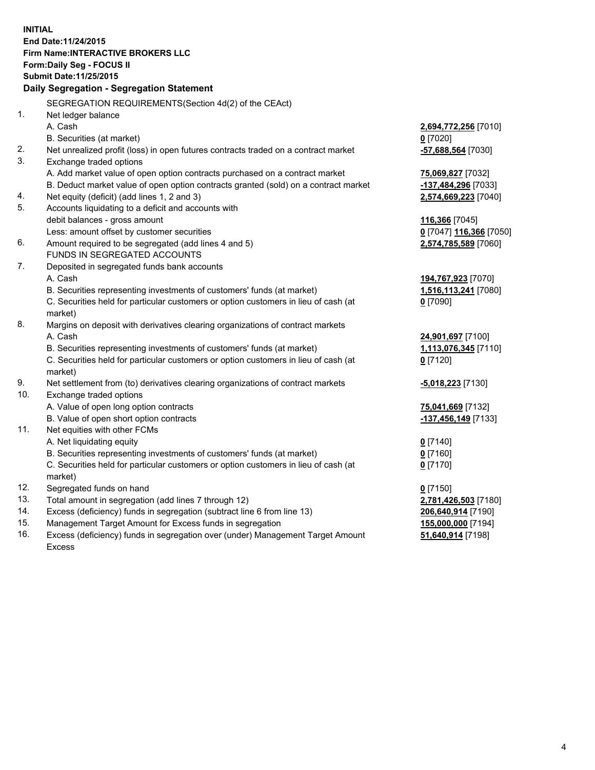**INITIAL End Date:11/24/2015 Firm Name:INTERACTIVE BROKERS LLC Form:Daily Seg - FOCUS II Submit Date:11/25/2015 Daily Segregation - Segregation Statement** SEGREGATION REQUIREMENTS(Section 4d(2) of the CEAct) 1. Net ledger balance A. Cash **2,694,772,256** [7010] B. Securities (at market) **0** [7020] 2. Net unrealized profit (loss) in open futures contracts traded on a contract market **-57,688,564** [7030] 3. Exchange traded options A. Add market value of open option contracts purchased on a contract market **75,069,827** [7032] B. Deduct market value of open option contracts granted (sold) on a contract market **-137,484,296** [7033] 4. Net equity (deficit) (add lines 1, 2 and 3) **2,574,669,223** [7040] 5. Accounts liquidating to a deficit and accounts with debit balances - gross amount **116,366** [7045] Less: amount offset by customer securities **0** [7047] **116,366** [7050] 6. Amount required to be segregated (add lines 4 and 5) **2,574,785,589** [7060] FUNDS IN SEGREGATED ACCOUNTS 7. Deposited in segregated funds bank accounts A. Cash **194,767,923** [7070] B. Securities representing investments of customers' funds (at market) **1,516,113,241** [7080] C. Securities held for particular customers or option customers in lieu of cash (at market) **0** [7090] 8. Margins on deposit with derivatives clearing organizations of contract markets A. Cash **24,901,697** [7100] B. Securities representing investments of customers' funds (at market) **1,113,076,345** [7110] C. Securities held for particular customers or option customers in lieu of cash (at market) **0** [7120] 9. Net settlement from (to) derivatives clearing organizations of contract markets **-5,018,223** [7130] 10. Exchange traded options A. Value of open long option contracts **75,041,669** [7132] B. Value of open short option contracts **-137,456,149** [7133] 11. Net equities with other FCMs A. Net liquidating equity **0** [7140] B. Securities representing investments of customers' funds (at market) **0** [7160] C. Securities held for particular customers or option customers in lieu of cash (at market) **0** [7170] 12. Segregated funds on hand **0** [7150] 13. Total amount in segregation (add lines 7 through 12) **2,781,426,503** [7180] 14. Excess (deficiency) funds in segregation (subtract line 6 from line 13) **206,640,914** [7190] 15. Management Target Amount for Excess funds in segregation **155,000,000** [7194] **51,640,914** [7198]

16. Excess (deficiency) funds in segregation over (under) Management Target Amount Excess